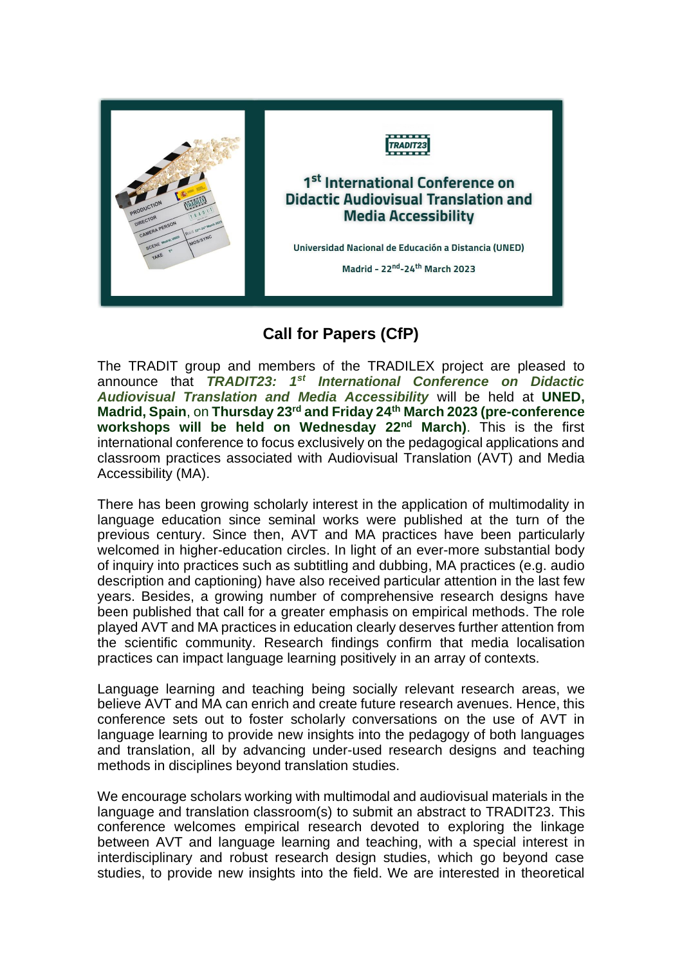

## **Call for Papers (CfP)**

The TRADIT group and members of the TRADILEX project are pleased to announce that *TRADIT23: 1st International Conference on Didactic Audiovisual Translation and Media Accessibility* will be held at **UNED, Madrid, Spain**, on **Thursday 23rd and Friday 24th March 2023 (pre-conference workshops will be held on Wednesday 22nd March)**. This is the first international conference to focus exclusively on the pedagogical applications and classroom practices associated with Audiovisual Translation (AVT) and Media Accessibility (MA).

There has been growing scholarly interest in the application of multimodality in language education since seminal works were published at the turn of the previous century. Since then, AVT and MA practices have been particularly welcomed in higher-education circles. In light of an ever-more substantial body of inquiry into practices such as subtitling and dubbing, MA practices (e.g. audio description and captioning) have also received particular attention in the last few years. Besides, a growing number of comprehensive research designs have been published that call for a greater emphasis on empirical methods. The role played AVT and MA practices in education clearly deserves further attention from the scientific community. Research findings confirm that media localisation practices can impact language learning positively in an array of contexts.

Language learning and teaching being socially relevant research areas, we believe AVT and MA can enrich and create future research avenues. Hence, this conference sets out to foster scholarly conversations on the use of AVT in language learning to provide new insights into the pedagogy of both languages and translation, all by advancing under-used research designs and teaching methods in disciplines beyond translation studies.

We encourage scholars working with multimodal and audiovisual materials in the language and translation classroom(s) to submit an abstract to TRADIT23. This conference welcomes empirical research devoted to exploring the linkage between AVT and language learning and teaching, with a special interest in interdisciplinary and robust research design studies, which go beyond case studies, to provide new insights into the field. We are interested in theoretical